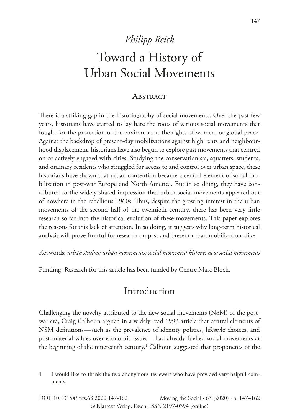## *Philipp Reick*

# Toward a History of Urban Social Movements

#### **ABSTRACT**

There is a striking gap in the historiography of social movements. Over the past few years, historians have started to lay bare the roots of various social movements that fought for the protection of the environment, the rights of women, or global peace. Against the backdrop of present-day mobilizations against high rents and neighbourhood displacement, historians have also begun to explore past movements that centred on or actively engaged with cities. Studying the conservationists, squatters, students, and ordinary residents who struggled for access to and control over urban space, these historians have shown that urban contention became a central element of social mobilization in post-war Europe and North America. But in so doing, they have contributed to the widely shared impression that urban social movements appeared out of nowhere in the rebellious 1960s. Thus, despite the growing interest in the urban movements of the second half of the twentieth century, there has been very little research so far into the historical evolution of these movements. This paper explores the reasons for this lack of attention. In so doing, it suggests why long-term historical analysis will prove fruitful for research on past and present urban mobilization alike.

Keywords: *urban studies; urban movements; social movement history; new social movements*

Funding: Research for this article has been funded by Centre Marc Bloch.

### Introduction

Challenging the novelty attributed to the new social movements (NSM) of the postwar era, Craig Calhoun argued in a widely read 1993 article that central elements of NSM definitions — such as the prevalence of identity politics, lifestyle choices, and post-material values over economic issues — had already fuelled social movements at the beginning of the nineteenth century.<sup>1</sup> Calhoun suggested that proponents of the

<sup>1</sup> I would like to thank the two anonymous reviewers who have provided very helpful comments.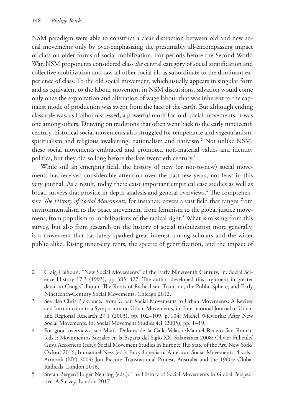NSM paradigm were able to construct a clear distinction between old and new social movements only by over-emphasizing the presumably all-encompassing impact of class on older forms of social mobilization. For periods before the Second World War, NSM proponents considered class *the* central category of social stratification and collective mobilization and saw all other social ills as subordinate to the dominant experience of class. To the old social movement, which usually appears in singular form and as equivalent to the labour movement in NSM discussions, salvation would come only once the exploitation and alienation of wage labour that was inherent to the capitalist mode of production was swept from the face of the earth. But although ending class rule was, as Calhoun stressed, a powerful motif for 'old' social movements, it was one among others. Drawing on traditions that often went back to the early nineteenth century, historical social movements also struggled for temperance and vegetarianism, spiritualism and religious awakening, nationalism and nativism.2 Not unlike NSM, these social movements embraced and promoted non-material values and identity politics, but they did so long before the late twentieth century.<sup>3</sup>

While still an emerging field, the history of new (or not-so-new) social movements has received considerable attention over the past few years, not least in this very journal. As a result, today there exist important empirical case studies as well as broad surveys that provide in-depth analysis and general overviews.<sup>4</sup> The comprehensive *The History of Social Movements*, for instance, covers a vast field that ranges from environmentalism to the peace movement, from feminism to the global justice movement, from populism to mobilizations of the radical right.<sup>5</sup> What is missing from this survey, but also from research on the history of social mobilization more generally, is a movement that has lately sparked great interest among scholars and the wider public alike. Rising inner-city rents, the spectre of gentrification, and the impact of

- 2 Craig Calhoun: "New Social Movements" of the Early Nineteenth Century, in: Social Science History 17:3 (1993), pp. 385–427. The author developed this argument in greater detail in Craig Calhoun: The Roots of Radicalism: Tradition, the Public Sphere, and Early Nineteenth-Century Social Movements, Chicago 2012.
- 3 See also Chris Pickvance: From Urban Social Movements to Urban Movements: A Review and Introduction to a Symposium on Urban Movements, in: International Journal of Urban and Regional Research 27:1 (2003), pp. 102–109, p. 104; Michel Wieviorka: After New Social Movements, in: Social Movement Studies 4:1 (2005), pp. 1–19.
- 4 For good overviews, see María Dolores de la Calle Velasco/Manuel Redero San Román (eds.): Movimientos Sociales en la España del Siglo XX, Salamanca 2008; Olivier Fillieule/ Guya Accornero (eds.): Social Movement Studies in Europe: The State of the Art, New York/ Oxford 2016; Immanuel Ness (ed.): Encyclopedia of American Social Movements, 4 vols., Armonk (NY) 2004; Jon Piccini: Transnational Protest, Australia and the 1960s: Global Radicals, London 2016.
- 5 Stefan Berger/Holger Nehring (eds.): The History of Social Movements in Global Perspective: A Survey, London 2017.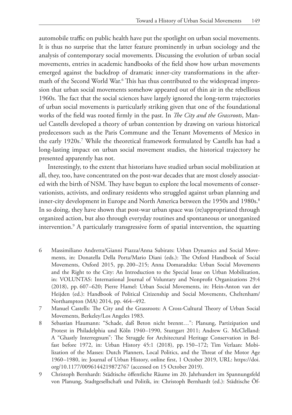automobile traffic on public health have put the spotlight on urban social movements. It is thus no surprise that the latter feature prominently in urban sociology and the analysis of contemporary social movements. Discussing the evolution of urban social movements, entries in academic handbooks of the field show how urban movements emerged against the backdrop of dramatic inner-city transformations in the aftermath of the Second World War.6 This has thus contributed to the widespread impression that urban social movements somehow appeared out of thin air in the rebellious 1960s. The fact that the social sciences have largely ignored the long-term trajectories of urban social movements is particularly striking given that one of the foundational works of the field was rooted firmly in the past. In *The City and the Grassroots*, Manuel Castells developed a theory of urban contention by drawing on various historical predecessors such as the Paris Commune and the Tenant Movements of Mexico in the early 1920s.7 While the theoretical framework formulated by Castells has had a long-lasting impact on urban social movement studies, the historical trajectory he presented apparently has not.

Interestingly, to the extent that historians have studied urban social mobilization at all, they, too, have concentrated on the post-war decades that are most closely associated with the birth of NSM. They have begun to explore the local movements of conservationists, activists, and ordinary residents who struggled against urban planning and inner-city development in Europe and North America between the 1950s and 1980s.<sup>8</sup> In so doing, they have shown that post-war urban space was (re)appropriated through organized action, but also through everyday routines and spontaneous or unorganized intervention.9 A particularly transgressive form of spatial intervention, the squatting

- 6 Massimiliano Andretta/Gianni Piazza/Anna Subirats: Urban Dynamics and Social Movements, in: Donatella Della Porta/Mario Diani (eds.): The Oxford Handbook of Social Movements, Oxford 2015, pp. 200–215; Anna Domaradzka: Urban Social Movements and the Right to the City: An Introduction to the Special Issue on Urban Mobilization, in: VOLUNTAS: International Journal of Voluntary and Nonprofit Organizations 29:4 (2018), pp. 607–620; Pierre Hamel: Urban Social Movements, in: Hein-Anton van der Heijden (ed.): Handbook of Political Citizenship and Social Movements, Cheltenham/ Northampton (MA) 2014, pp. 464–492.
- 7 Manuel Castells: The City and the Grassroots: A Cross-Cultural Theory of Urban Social Movements, Berkeley/Los Angeles 1983.
- 8 Sebastian Haumann: "Schade, daß Beton nicht brennt…": Planung, Partizipation und Protest in Philadelphia und Köln 1940–1990, Stuttgart 2011; Andrew G. McClelland: A "Ghastly Interregnum": The Struggle for Architectural Heritage Conservation in Belfast before 1972, in: Urban History 45:1 (2018), pp. 150–172; Tim Verlaan: Mobilization of the Masses: Dutch Planners, Local Politics, and the Threat of the Motor Age 1960–1980, in: Journal of Urban History, online first, 1 October 2019, URL: [https://doi.](https://doi.org/10.1177/0096144219872767) [org/10.1177/0096144219872767](https://doi.org/10.1177/0096144219872767) (accessed on 15 October 2019).
- 9 Christoph Bernhardt: Städtische öffentliche Räume im 20. Jahrhundert im Spannungsfeld von Planung, Stadtgesellschaft und Politik, in: Christoph Bernhardt (ed.): Städtische Öf-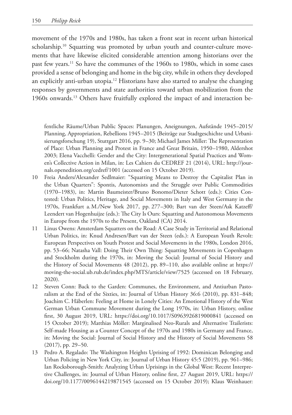movement of the 1970s and 1980s, has taken a front seat in recent urban historical scholarship.<sup>10</sup> Squatting was promoted by urban youth and counter-culture movements that have likewise elicited considerable attention among historians over the past few years.<sup>11</sup> So have the communes of the 1960s to 1980s, which in some cases provided a sense of belonging and home in the big city, while in others they developed an explicitly anti-urban utopia.<sup>12</sup> Historians have also started to analyse the changing responses by governments and state authorities toward urban mobilization from the 1960s onwards.13 Others have fruitfully explored the impact of and interaction be-

fentliche Räume/Urban Public Spaces: Planungen, Aneignungen, Aufstände 1945–2015/ Planning, Appropriation, Rebellions 1945–2015 (Beiträge zur Stadtgeschichte und Urbanisierungsforschung 19), Stuttgart 2016, pp. 9–30; Michael James Miller: The Representation of Place: Urban Planning and Protest in France and Great Britain, 1950–1980, Aldershot 2003; Elena Vacchelli: Gender and the City: Intergenerational Spatial Practices and Women's Collective Action in Milan, in: Les Cahiers du CEDREF 21 (2014), URL: [http://jour](http://journals.openedition.org/cedref/1001)[nals.openedition.org/cedref/1001](http://journals.openedition.org/cedref/1001) (accessed on 15 October 2019).

- 10 Freia Anders/Alexander Sedlmaier: "Squatting Means to Destroy the Capitalist Plan in the Urban Quarters": Spontis, Autonomists and the Struggle over Public Commodities (1970–1983), in: Martin Baumeister/Bruno Bonomo/Dieter Schott (eds.): Cities Contested: Urban Politics, Heritage, and Social Movements in Italy and West Germany in the 1970s, Frankfurt a.M./New York 2017, pp. 277–300; Bart van der Steen/Ask Katzeff/ Leendert van Hogenhuijze (eds.): The City Is Ours: Squatting and Autonomous Movements in Europe from the 1970s to the Present, Oakland (CA) 2014.
- 11 Linus Owens: Amsterdam Squatters on the Road: A Case Study in Territorial and Relational Urban Politics, in: Knud Andresen/Bart van der Steen (eds.): A European Youth Revolt: European Perspectives on Youth Protest and Social Movements in the 1980s, London 2016, pp. 53–66; Natasha Vall: Doing Their Own Thing: Squatting Movements in Copenhagen and Stockholm during the 1970s, in: Moving the Social: Journal of Social History and the History of Social Movements 48 (2012), pp. 89–110, also available online at [https://](https://moving-the-social.ub.rub.de/index.php/MTS/article/view/7525) [moving-the-social.ub.rub.de/index.php/MTS/article/view/7525](https://moving-the-social.ub.rub.de/index.php/MTS/article/view/7525) (accessed on 18 February, 2020).
- 12 Steven Conn: Back to the Garden: Communes, the Environment, and Antiurban Pastoralism at the End of the Sixties, in: Journal of Urban History 36:6 (2010), pp. 831–848; Joachim C. Häberlen: Feeling at Home in Lonely Cities: An Emotional History of the West German Urban Commune Movement during the Long 1970s, in: Urban History, online first, 30 August 2019, URL: <https://doi.org/10.1017/S0963926819000841> (accessed on 15 October 2019); Matthias Möller: Marginalised Neo-Rurals and Alternative Trailerists: Self-made Housing as a Counter Concept of the 1970s and 1980s in Germany and France, in: Moving the Social: Journal of Social History and the History of Social Movements 58 (2017), pp. 29–50.
- 13 Pedro A. Regalado: The Washington Heights Uprising of 1992: Dominican Belonging and Urban Policing in New York City, in: Journal of Urban History 45:5 (2019), pp. 961–986; Ian Rocksborough-Smith: Analyzing Urban Uprisings in the Global West: Recent Interpretive Challenges, in: Journal of Urban History, online first, 27 August 2019, URL: [https://](https://doi.org/10.1177/0096144219871545) [doi.org/10.1177/0096144219871545](https://doi.org/10.1177/0096144219871545) (accessed on 15 October 2019); Klaus Weinhauer: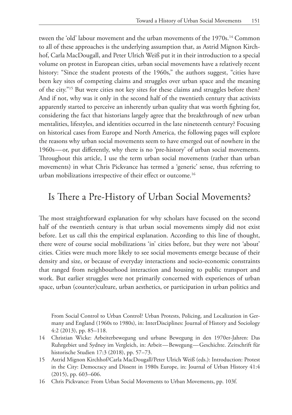tween the 'old' labour movement and the urban movements of the 1970s.14 Common to all of these approaches is the underlying assumption that, as Astrid Mignon Kirchhof, Carla MacDougall, and Peter Ulrich Weiß put it in their introduction to a special volume on protest in European cities, urban social movements have a relatively recent history: "Since the student protests of the 1960s," the authors suggest, "cities have been key sites of competing claims and struggles over urban space and the meaning of the city."15 But were cities not key sites for these claims and struggles before then? And if not, why was it only in the second half of the twentieth century that activists apparently started to perceive an inherently urban quality that was worth fighting for, considering the fact that historians largely agree that the breakthrough of new urban mentalities, lifestyles, and identities occurred in the late nineteenth century? Focusing on historical cases from Europe and North America, the following pages will explore the reasons why urban social movements seem to have emerged out of nowhere in the 1960s — or, put differently, why there is no 'pre-history' of urban social movements. Throughout this article, I use the term urban social movements (rather than urban movements) in what Chris Pickvance has termed a 'generic' sense, thus referring to urban mobilizations irrespective of their effect or outcome.<sup>16</sup>

#### Is There a Pre-History of Urban Social Movements?

The most straightforward explanation for why scholars have focused on the second half of the twentieth century is that urban social movements simply did not exist before. Let us call this the empirical explanation. According to this line of thought, there were of course social mobilizations 'in' cities before, but they were not 'about' cities. Cities were much more likely to see social movements emerge because of their density and size, or because of everyday interactions and socio-economic constraints that ranged from neighbourhood interaction and housing to public transport and work. But earlier struggles were not primarily concerned with experiences of urban space, urban (counter)culture, urban aesthetics, or participation in urban politics and

From Social Control to Urban Control? Urban Protests, Policing, and Localization in Germany and England (1960s to 1980s), in: InterDisciplines: Journal of History and Sociology 4:2 (2013), pp. 85–118.

- 14 Christian Wicke: Arbeiterbewegung und urbane Bewegung in den 1970er-Jahren: Das Ruhrgebiet und Sydney im Vergleich, in: Arbeit — Bewegung — Geschichte. Zeitschrift für historische Studien 17:3 (2018), pp. 57–73.
- 15 Astrid Mignon Kirchhof/Carla MacDougall/Peter Ulrich Weiß (eds.): Introduction: Protest in the City: Democracy and Dissent in 1980s Europe, in: Journal of Urban History 41:4 (2015), pp. 603–606.
- 16 Chris Pickvance: From Urban Social Movements to Urban Movements, pp. 103f.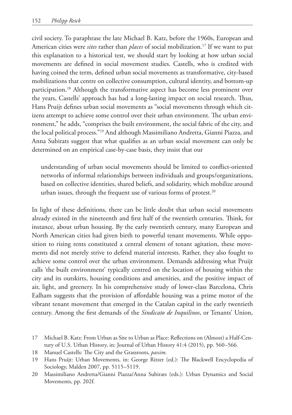civil society. To paraphrase the late Michael B. Katz, before the 1960s, European and American cities were *sites* rather than *places* of social mobilization.<sup>17</sup> If we want to put this explanation to a historical test, we should start by looking at how urban social movements are defined in social movement studies. Castells, who is credited with having coined the term, defined urban social movements as transformative, city-based mobilizations that centre on collective consumption, cultural identity, and bottom-up participation.18 Although the transformative aspect has become less prominent over the years, Castells' approach has had a long-lasting impact on social research. Thus, Hans Pruijt defines urban social movements as "social movements through which citizens attempt to achieve some control over their urban environment. The urban environment," he adds, "comprises the built environment, the social fabric of the city, and the local political process."19 And although Massimiliano Andretta, Gianni Piazza, and Anna Subirats suggest that what qualifies as an urban social movement can only be determined on an empirical case-by-case basis, they insist that our

understanding of urban social movements should be limited to conflict-oriented networks of informal relationships between individuals and groups/organizations, based on collective identities, shared beliefs, and solidarity, which mobilize around urban issues, through the frequent use of various forms of protest.<sup>20</sup>

In light of these definitions, there can be little doubt that urban social movements already existed in the nineteenth and first half of the twentieth centuries. Think, for instance, about urban housing. By the early twentieth century, many European and North American cities had given birth to powerful tenant movements. While opposition to rising rents constituted a central element of tenant agitation, these movements did not merely strive to defend material interests. Rather, they also fought to achieve some control over the urban environment. Demands addressing what Pruijt calls 'the built environment' typically centred on the location of housing within the city and its outskirts, housing conditions and amenities, and the positive impact of air, light, and greenery. In his comprehensive study of lower-class Barcelona, Chris Ealham suggests that the provision of affordable housing was a prime motor of the vibrant tenant movement that emerged in the Catalan capital in the early twentieth century. Among the first demands of the *Sindicato de Inquilinos*, or Tenants' Union,

- 17 Michael B. Katz: From Urban as Site to Urban as Place: Reflections on (Almost) a Half-Century of U.S. Urban History, in: Journal of Urban History 41:4 (2015), pp. 560–566.
- 18 Manuel Castells: The City and the Grassroots, *passim*.
- 19 Hans Pruijt: Urban Movements, in: George Ritzer (ed.): The Blackwell Encyclopedia of Sociology, Malden 2007, pp. 5115–5119.
- 20 Massimiliano Andretta/Gianni Piazza/Anna Subirats (eds.): Urban Dynamics and Social Movements, pp. 202f.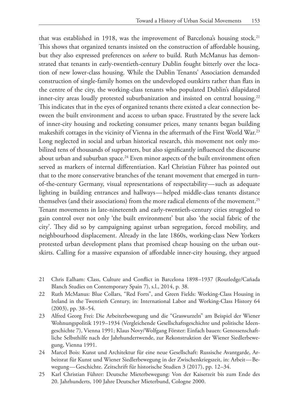that was established in 1918, was the improvement of Barcelona's housing stock.<sup>21</sup> This shows that organized tenants insisted on the construction of affordable housing, but they also expressed preferences on *where* to build. Ruth McManus has demonstrated that tenants in early-twentieth-century Dublin fought bitterly over the location of new lower-class housing. While the Dublin Tenants' Association demanded construction of single-family homes on the undeveloped outskirts rather than flats in the centre of the city, the working-class tenants who populated Dublin's dilapidated inner-city areas loudly protested suburbanization and insisted on central housing.<sup>22</sup> This indicates that in the eyes of organized tenants there existed a clear connection between the built environment and access to urban space. Frustrated by the severe lack of inner-city housing and rocketing consumer prices, many tenants began building makeshift cottages in the vicinity of Vienna in the aftermath of the First World War.<sup>23</sup> Long neglected in social and urban historical research, this movement not only mobilized tens of thousands of supporters, but also significantly influenced the discourse about urban and suburban space.<sup>24</sup> Even minor aspects of the built environment often served as markers of internal differentiation. Karl Christian Führer has pointed out that to the more conservative branches of the tenant movement that emerged in turnof-the-century Germany, visual representations of respectability — such as adequate lighting in building entrances and hallways — helped middle-class tenants distance themselves (and their associations) from the more radical elements of the movement.25 Tenant movements in late-nineteenth and early-twentieth-century cities struggled to gain control over not only 'the built environment' but also 'the social fabric of the city'. They did so by campaigning against urban segregation, forced mobility, and neighbourhood displacement. Already in the late 1860s, working-class New Yorkers protested urban development plans that promised cheap housing on the urban outskirts. Calling for a massive expansion of affordable inner-city housing, they argued

- 21 Chris Ealham: Class, Culture and Conflict in Barcelona 1898–1937 (Routledge/Cañada Blanch Studies on Contemporary Spain 7), s.l., 2014, p. 38.
- 22 Ruth McManus: Blue Collars, "Red Forts", and Green Fields: Working-Class Housing in Ireland in the Twentieth Century, in: International Labor and Working-Class History 64 (2003), pp. 38–54.
- 23 Alfred Georg Frei: Die Arbeiterbewegung und die "Graswurzeln" am Beispiel der Wiener Wohnungspolitik 1919–1934 (Vergleichende Gesellschaftsgeschichte und politische Ideengeschichte 7), Vienna 1991; Klaus Novy/Wolfgang Förster: Einfach bauen: Genossenschaftliche Selbsthilfe nach der Jahrhundertwende, zur Rekonstruktion der Wiener Siedlerbewegung, Vienna 1991.
- 24 Marcel Bois: Kunst und Architektur für eine neue Gesellschaft: Russische Avantgarde, Arbeitsrat für Kunst und Wiener Siedlerbewegung in der Zwischenkriegszeit, in: Arbeit — Bewegung — Geschichte. Zeitschrift für historische Studien 3 (2017), pp. 12–34.
- 25 Karl Christian Führer: Deutsche Mieterbewegung: Von der Kaiserzeit bis zum Ende des 20. Jahrhunderts, 100 Jahre Deutscher Mieterbund, Cologne 2000.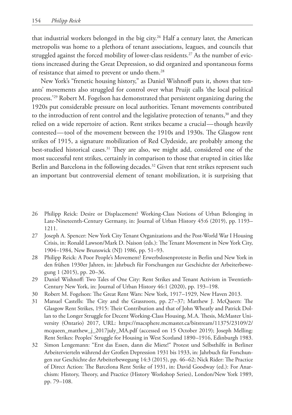that industrial workers belonged in the big city.<sup>26</sup> Half a century later, the American metropolis was home to a plethora of tenant associations, leagues, and councils that struggled against the forced mobility of lower-class residents.<sup>27</sup> As the number of evictions increased during the Great Depression, so did organized and spontaneous forms of resistance that aimed to prevent or undo them.<sup>28</sup>

New York's "frenetic housing history," as Daniel Wishnoff puts it, shows that tenants' movements also struggled for control over what Pruijt calls 'the local political process.<sup>29</sup> Robert M. Fogelson has demonstrated that persistent organizing during the 1920s put considerable pressure on local authorities. Tenant movements contributed to the introduction of rent control and the legislative protection of tenants,<sup>30</sup> and they relied on a wide repertoire of action. Rent strikes became a crucial — though heavily contested — tool of the movement between the 1910s and 1930s. The Glasgow rent strikes of 1915, a signature mobilization of Red Clydeside, are probably among the best-studied historical cases.<sup>31</sup> They are also, we might add, considered one of the most successful rent strikes, certainly in comparison to those that erupted in cities like Berlin and Barcelona in the following decades.<sup>32</sup> Given that rent strikes represent such an important but controversial element of tenant mobilization, it is surprising that

- 26 Philipp Reick: Desire or Displacement? Working-Class Notions of Urban Belonging in Late-Nineteenth-Century Germany, in: Journal of Urban History 45:6 (2019), pp. 1193– 1211.
- 27 Joseph A. Spencer: New York City Tenant Organizations and the Post-World War I Housing Crisis, in: Ronald Lawson/Mark D. Naison (eds.): The Tenant Movement in New York City, 1904–1984, New Brunswick (NJ) 1986, pp. 51–93.
- 28 Philipp Reick: A Poor People's Movement? Erwerbslosenproteste in Berlin und New York in den frühen 1930er Jahren, in: Jahrbuch für Forschungen zur Geschichte der Arbeiterbewegung 1 (2015), pp. 20–36.
- 29 Daniel Wishnoff: Two Tales of One City: Rent Strikes and Tenant Activism in Twentieth-Century New York, in: Journal of Urban History 46:1 (2020), pp. 193–198.
- 30 Robert M. Fogelson: The Great Rent Wars: New York, 1917–1929, New Haven 2013.
- 31 Manuel Castells: The City and the Grassroots, pp. 27–37; Matthew J. McQueen: The Glasgow Rent Strikes, 1915: Their Contribution and that of John Wheatly and Patrick Dollan to the Longer Struggle for Decent Working-Class Housing, M.A. Thesis, McMaster University (Ontario) 2017, URL: [https://macsphere.mcmaster.ca/bitstream/11375/23109/2/](https://macsphere.mcmaster.ca/bitstream/11375/23109/2/mcqueen_matthew_j_2017july_MA.pdf) [mcqueen\\_matthew\\_j\\_2017july\\_MA.pdf](https://macsphere.mcmaster.ca/bitstream/11375/23109/2/mcqueen_matthew_j_2017july_MA.pdf) (accessed on 15 October 2019); Joseph Melling: Rent Strikes: Peoples' Struggle for Housing in West Scotland 1890–1916, Edinburgh 1983.
- 32 Simon Lengemann: "Erst das Essen, dann die Miete!" Protest und Selbsthilfe in Berliner Arbeitervierteln während der Großen Depression 1931 bis 1933, in: Jahrbuch für Forschungen zur Geschichte der Arbeiterbewegung 14:3 (2015), pp. 46–62; Nick Rider: The Practice of Direct Action: The Barcelona Rent Strike of 1931, in: David Goodway (ed.): For Anarchism: History, Theory, and Practice (History Workshop Series), London/New York 1989, pp. 79–108.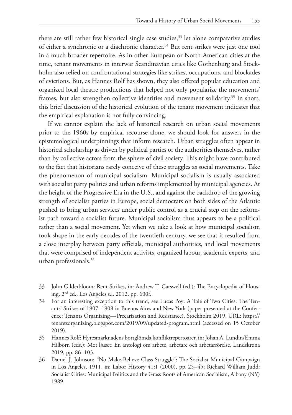there are still rather few historical single case studies, $33$  let alone comparative studies of either a synchronic or a diachronic character.34 But rent strikes were just one tool in a much broader repertoire. As in other European or North American cities at the time, tenant movements in interwar Scandinavian cities like Gothenburg and Stockholm also relied on confrontational strategies like strikes, occupations, and blockades of evictions. But, as Hannes Rolf has shown, they also offered popular education and organized local theatre productions that helped not only popularize the movements' frames, but also strengthen collective identities and movement solidarity.<sup>35</sup> In short, this brief discussion of the historical evolution of the tenant movement indicates that the empirical explanation is not fully convincing.

If we cannot explain the lack of historical research on urban social movements prior to the 1960s by empirical recourse alone, we should look for answers in the epistemological underpinnings that inform research. Urban struggles often appear in historical scholarship as driven by political parties or the authorities themselves, rather than by collective actors from the sphere of civil society. This might have contributed to the fact that historians rarely conceive of these struggles as social movements. Take the phenomenon of municipal socialism. Municipal socialism is usually associated with socialist party politics and urban reforms implemented by municipal agencies. At the height of the Progressive Era in the U.S., and against the backdrop of the growing strength of socialist parties in Europe, social democrats on both sides of the Atlantic pushed to bring urban services under public control as a crucial step on the reformist path toward a socialist future. Municipal socialism thus appears to be a political rather than a social movement. Yet when we take a look at how municipal socialism took shape in the early decades of the twentieth century, we see that it resulted from a close interplay between party officials, municipal authorities, and local movements that were comprised of independent activists, organized labour, academic experts, and urban professionals.36

- 33 John Gilderbloom: Rent Strikes, in: Andrew T. Carswell (ed.): The Encyclopedia of Housing, 2nd ed., Los Angeles s.l. 2012, pp. 600f.
- 34 For an interesting exception to this trend, see Lucas Poy: A Tale of Two Cities: The Tenants' Strikes of 1907–1908 in Buenos Aires and New York (paper presented at the Conference: Tenants Organizing — Precarization and Resistance), Stockholm 2019, URL: [https://](https://tenantsorganizing.blogspot.com/2019/09/updated-program.html) [tenantsorganizing.blogspot.com/2019/09/updated-program.html](https://tenantsorganizing.blogspot.com/2019/09/updated-program.html) (accessed on 15 October 2019).
- 35 Hannes Rolf: Hyresmarknadens bortglömda konfliktrepertoarer, in: Johan A. Lundin/Emma Hilborn (eds.): Mot ljuset: En antologi om arbete, arbetare och arbetarrörelse, Landskrona 2019, pp. 86–103.
- 36 Daniel J. Johnson: "No Make-Believe Class Struggle": The Socialist Municipal Campaign in Los Angeles, 1911, in: Labor History 41:1 (2000), pp. 25–45; Richard William Judd: Socialist Cities: Municipal Politics and the Grass Roots of American Socialism, Albany (NY) 1989.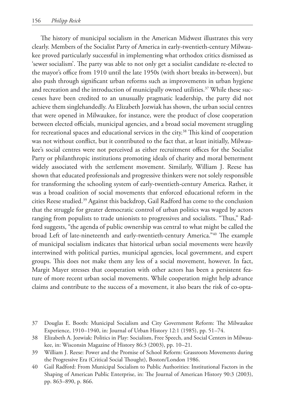The history of municipal socialism in the American Midwest illustrates this very clearly. Members of the Socialist Party of America in early-twentieth-century Milwaukee proved particularly successful in implementing what orthodox critics dismissed as 'sewer socialism'. The party was able to not only get a socialist candidate re-elected to the mayor's office from 1910 until the late 1950s (with short breaks in-between), but also push through significant urban reforms such as improvements in urban hygiene and recreation and the introduction of municipally owned utilities.<sup>37</sup> While these successes have been credited to an unusually pragmatic leadership, the party did not achieve them singlehandedly. As Elizabeth Jozwiak has shown, the urban social centres that were opened in Milwaukee, for instance, were the product of close cooperation between elected officials, municipal agencies, and a broad social movement struggling for recreational spaces and educational services in the city.<sup>38</sup> This kind of cooperation was not without conflict, but it contributed to the fact that, at least initially, Milwaukee's social centres were not perceived as either recruitment offices for the Socialist Party or philanthropic institutions promoting ideals of charity and moral betterment widely associated with the settlement movement. Similarly, William J. Reese has shown that educated professionals and progressive thinkers were not solely responsible for transforming the schooling system of early-twentieth-century America. Rather, it was a broad coalition of social movements that enforced educational reform in the cities Reese studied.39 Against this backdrop, Gail Radford has come to the conclusion that the struggle for greater democratic control of urban politics was waged by actors ranging from populists to trade unionists to progressives and socialists. "Thus," Radford suggests, "the agenda of public ownership was central to what might be called the broad Left of late-nineteenth and early-twentieth-century America."40 The example of municipal socialism indicates that historical urban social movements were heavily intertwined with political parties, municipal agencies, local government, and expert groups. This does not make them any less of a social movement, however. In fact, Margit Mayer stresses that cooperation with other actors has been a persistent feature of more recent urban social movements. While cooperation might help advance claims and contribute to the success of a movement, it also bears the risk of co-opta-

- 37 Douglas E. Booth: Municipal Socialism and City Government Reform: The Milwaukee Experience, 1910–1940, in: Journal of Urban History 12:1 (1985), pp. 51–74.
- 38 Elizabeth A. Jozwiak: Politics in Play: Socialism, Free Speech, and Social Centers in Milwaukee, in: Wisconsin Magazine of History 86:3 (2003), pp. 10–21.
- 39 William J. Reese: Power and the Promise of School Reform: Grassroots Movements during the Progressive Era (Critical Social Thought), Boston/London 1986.
- 40 Gail Radford: From Municipal Socialism to Public Authorities: Institutional Factors in the Shaping of American Public Enterprise, in: The Journal of American History 90:3 (2003), pp. 863–890, p. 866.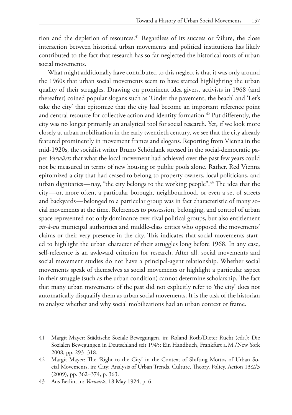tion and the depletion of resources.<sup>41</sup> Regardless of its success or failure, the close interaction between historical urban movements and political institutions has likely contributed to the fact that research has so far neglected the historical roots of urban social movements.

What might additionally have contributed to this neglect is that it was only around the 1960s that urban social movements seem to have started highlighting the urban quality of their struggles. Drawing on prominent idea givers, activists in 1968 (and thereafter) coined popular slogans such as 'Under the pavement, the beach' and 'Let's take the city' that epitomize that the city had become an important reference point and central resource for collective action and identity formation.<sup>42</sup> Put differently, the city was no longer primarily an analytical tool for social research. Yet, if we look more closely at urban mobilization in the early twentieth century, we see that the city already featured prominently in movement frames and slogans. Reporting from Vienna in the mid-1920s, the socialist writer Bruno Schönlank stressed in the social-democratic paper *Vorwärts* that what the local movement had achieved over the past few years could not be measured in terms of new housing or public pools alone. Rather, Red Vienna epitomized a city that had ceased to belong to property owners, local politicians, and urban dignitaries—nay, "the city belongs to the working people".<sup>43</sup> The idea that the city — or, more often, a particular borough, neighbourhood, or even a set of streets and backyards — belonged to a particular group was in fact characteristic of many social movements at the time. References to possession, belonging, and control of urban space represented not only dominance over rival political groups, but also entitlement *vis-à-vis* municipal authorities and middle-class critics who opposed the movements' claims or their very presence in the city. This indicates that social movements started to highlight the urban character of their struggles long before 1968. In any case, self-reference is an awkward criterion for research. After all, social movements and social movement studies do not have a principal-agent relationship. Whether social movements speak of themselves as social movements or highlight a particular aspect in their struggle (such as the urban condition) cannot determine scholarship. The fact that many urban movements of the past did not explicitly refer to 'the city' does not automatically disqualify them as urban social movements. It is the task of the historian to analyse whether and why social mobilizations had an urban context or frame.

<sup>41</sup> Margit Mayer: Städtische Soziale Bewegungen, in: Roland Roth/Dieter Rucht (eds.): Die Sozialen Bewegungen in Deutschland seit 1945: Ein Handbuch, Frankfurt a.M./New York 2008, pp. 293–318.

<sup>42</sup> Margit Mayer: The 'Right to the City' in the Context of Shifting Mottos of Urban Social Movements, in: City: Analysis of Urban Trends, Culture, Theory, Policy, Action 13:2/3 (2009), pp. 362–374, p. 363.

<sup>43</sup> Aus Berlin, in: *Vorwärts*, 18 May 1924, p. 6.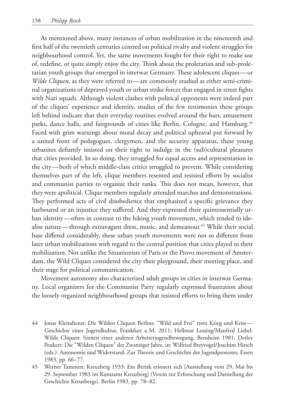As mentioned above, many instances of urban mobilization in the nineteenth and first half of the twentieth centuries centred on political rivalry and violent struggles for neighbourhood control. Yet, the same movements fought for their right to make use of, redefine, or quite simply enjoy the city. Think about the proletarian and sub-proletarian youth groups that emerged in interwar Germany. These adolescent cliques — or *Wilde Cliquen*, as they were referred to—are commonly studied as either semi-criminal organizations of depraved youth or urban strike forces that engaged in street fights with Nazi squads. Although violent clashes with political opponents were indeed part of the cliques' experience and identity, studies of the few testimonies these groups left behind indicate that their everyday routines evolved around the bars, amusement parks, dance halls, and fairgrounds of cities like Berlin, Cologne, and Hamburg.<sup>44</sup> Faced with grim warnings about moral decay and political upheaval put forward by a united front of pedagogues, clergymen, and the security apparatus, these young urbanites defiantly insisted on their right to indulge in the (sub)cultural pleasures that cities provided. In so doing, they struggled for equal access and representation in the city — both of which middle-class critics struggled to prevent. While considering themselves part of the left, clique members resented and resisted efforts by socialist and communist parties to organize their ranks. This does not mean, however, that they were apolitical. Clique members regularly attended marches and demonstrations. They performed acts of civil disobedience that emphasized a specific grievance they harboured or an injustice they suffered. And they expressed their quintessentially urban identity — often in contrast to the hiking youth movement, which tended to idealise nature—through extravagant dress, music, and demeanour.<sup>45</sup> While their social base differed considerably, these urban youth movements were not so different from later urban mobilizations with regard to the central position that cities played in their mobilization. Not unlike the Situationists of Paris or the Provo movement of Amsterdam, the Wild Cliques considered the city their playground, their meeting place, and their stage for political communication.

Movement autonomy also characterized adult groups in cities in interwar Germany. Local organizers for the Communist Party regularly expressed frustration about the loosely organized neighbourhood groups that resisted efforts to bring them under

- 44 Jonas Kleindienst: Die Wilden Cliquen Berlins: "Wild und Frei" trotz Krieg und Krise Geschichte einer Jugendkultur, Frankfurt a.M. 2011; Hellmut Lessing/Manfred Liebel: Wilde Cliquen: Szenen einer anderen Arbeiterjugendbewegung, Bensheim 1981; Detlev Peukert: Die "Wilden Cliquen" der Zwanziger Jahre, in: Wilfried Breyvogel/Joachim Hirsch (eds.): Autonomie und Widerstand: Zur Theorie und Geschichte des Jugendprotestes, Essen 1983, pp. 66–77.
- 45 Werner Tammen: Kreuzberg 1933: Ein Bezirk erinnert sich [Ausstellung vom 29. Mai bis 29. September 1983 im Kunstamt Kreuzberg] (Verein zur Erforschung und Darstellung der Geschichte Kreuzbergs), Berlin 1983, pp. 78–82.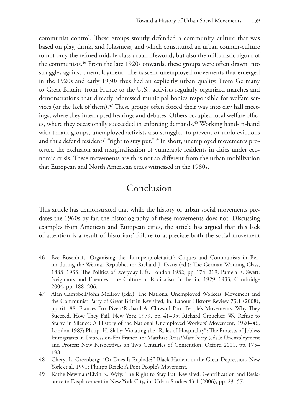communist control. These groups stoutly defended a community culture that was based on play, drink, and folksiness, and which constituted an urban counter-culture to not only the refined middle-class urban lifeworld, but also the militaristic rigour of the communists.<sup>46</sup> From the late 1920s onwards, these groups were often drawn into struggles against unemployment. The nascent unemployed movements that emerged in the 1920s and early 1930s thus had an explicitly urban quality. From Germany to Great Britain, from France to the U.S., activists regularly organized marches and demonstrations that directly addressed municipal bodies responsible for welfare services (or the lack of them). $47$  These groups often forced their way into city hall meetings, where they interrupted hearings and debates. Others occupied local welfare offices, where they occasionally succeeded in enforcing demands.<sup>48</sup> Working hand-in-hand with tenant groups, unemployed activists also struggled to prevent or undo evictions and thus defend residents' "right to stay put."<sup>49</sup> In short, unemployed movements protested the exclusion and marginalization of vulnerable residents in cities under economic crisis. These movements are thus not so different from the urban mobilization that European and North American cities witnessed in the 1980s.

### Conclusion

This article has demonstrated that while the history of urban social movements predates the 1960s by far, the historiography of these movements does not. Discussing examples from American and European cities, the article has argued that this lack of attention is a result of historians' failure to appreciate both the social-movement

- 46 Eve Rosenhaft: Organising the 'Lumpenproletariat': Cliques and Communists in Berlin during the Weimar Republic, in: Richard J. Evans (ed.): The German Working Class, 1888–1933: The Politics of Everyday Life, London 1982, pp. 174–219; Pamela E. Swett: Neighbors and Enemies: The Culture of Radicalism in Berlin, 1929–1933, Cambridge 2004, pp. 188–206.
- 47 Alan Campbell/John McIlroy (eds.): The National Unemployed Workers' Movement and the Communist Party of Great Britain Revisited, in: Labour History Review 73:1 (2008), pp. 61–88; Frances Fox Piven/Richard A. Cloward Poor People's Movements: Why They Succeed, How They Fail, New York 1979, pp. 41–95; Richard Croucher: We Refuse to Starve in Silence: A History of the National Unemployed Workers' Movement, 1920–46, London 1987; Philip. H. Slaby: Violating the "Rules of Hospitality": The Protests of Jobless Immigrants in Depression-Era France, in: Matthias Reiss/Matt Perry (eds.): Unemployment and Protest: New Perspectives on Two Centuries of Contention, Oxford 2011, pp. 175– 198.
- 48 Cheryl L. Greenberg: "Or Does It Explode?" Black Harlem in the Great Depression, New York et al. 1991; Philipp Reick: A Poor People's Movement.
- 49 Kathe Newman/Elvin K. Wyly: The Right to Stay Put, Revisited: Gentrification and Resistance to Displacement in New York City, in: Urban Studies 43:1 (2006), pp. 23–57.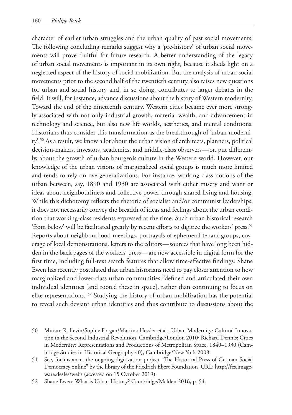character of earlier urban struggles and the urban quality of past social movements. The following concluding remarks suggest why a 'pre-history' of urban social movements will prove fruitful for future research. A better understanding of the legacy of urban social movements is important in its own right, because it sheds light on a neglected aspect of the history of social mobilization. But the analysis of urban social movements prior to the second half of the twentieth century also raises new questions for urban and social history and, in so doing, contributes to larger debates in the field. It will, for instance, advance discussions about the history of Western modernity. Toward the end of the nineteenth century, Western cities became ever more strongly associated with not only industrial growth, material wealth, and advancement in technology and science, but also new life worlds, aesthetics, and mental conditions. Historians thus consider this transformation as the breakthrough of 'urban modernity'.50 As a result, we know a lot about the urban vision of architects, planners, political decision-makers, investors, academics, and middle-class observers — or, put differently, about the growth of urban bourgeois culture in the Western world. However, our knowledge of the urban visions of marginalized social groups is much more limited and tends to rely on overgeneralizations. For instance, working-class notions of the urban between, say, 1890 and 1930 are associated with either misery and want or ideas about neighbourliness and collective power through shared living and housing. While this dichotomy reflects the rhetoric of socialist and/or communist leaderships, it does not necessarily convey the breadth of ideas and feelings about the urban condition that working-class residents expressed at the time. Such urban historical research 'from below' will be facilitated greatly by recent efforts to digitize the workers' press.51 Reports about neighbourhood meetings, portrayals of ephemeral tenant groups, coverage of local demonstrations, letters to the editors — sources that have long been hidden in the back pages of the workers' press — are now accessible in digital form for the first time, including full-text search features that allow time-effective findings. Shane Ewen has recently postulated that urban historians need to pay closer attention to how marginalized and lower-class urban communities "defined and articulated their own individual identities [and rooted these in space], rather than continuing to focus on elite representations."52 Studying the history of urban mobilization has the potential to reveal such deviant urban identities and thus contribute to discussions about the

- 50 Miriam R. Levin/Sophie Forgan/Martina Hessler et al.: Urban Modernity: Cultural Innovation in the Second Industrial Revolution, Cambridge/London 2010; Richard Dennis: Cities in Modernity: Representations and Productions of Metropolitan Space, 1840–1930 (Cambridge Studies in Historical Geography 40), Cambridge/New York 2008.
- 51 See, for instance, the ongoing digitization project "The Historical Press of German Social Democracy online" by the library of the Friedrich Ebert Foundation, URL: http://fes.imageware.de/fes/web/ (accessed on 15 October 2019).

52 Shane Ewen: What is Urban History? Cambridge/Malden 2016, p. 54.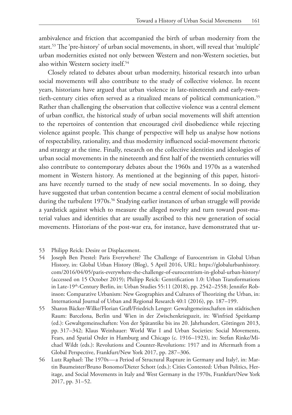ambivalence and friction that accompanied the birth of urban modernity from the start.53 The 'pre-history' of urban social movements, in short, will reveal that 'multiple' urban modernities existed not only between Western and non-Western societies, but also within Western society itself.<sup>54</sup>

Closely related to debates about urban modernity, historical research into urban social movements will also contribute to the study of collective violence. In recent years, historians have argued that urban violence in late-nineteenth and early-twentieth-century cities often served as a ritualized means of political communication.55 Rather than challenging the observation that collective violence was a central element of urban conflict, the historical study of urban social movements will shift attention to the repertoires of contention that encouraged civil disobedience while rejecting violence against people. This change of perspective will help us analyse how notions of respectability, rationality, and thus modernity influenced social-movement rhetoric and strategy at the time. Finally, research on the collective identities and ideologies of urban social movements in the nineteenth and first half of the twentieth centuries will also contribute to contemporary debates about the 1960s and 1970s as a watershed moment in Western history. As mentioned at the beginning of this paper, historians have recently turned to the study of new social movements. In so doing, they have suggested that urban contention became a central element of social mobilization during the turbulent 1970s.<sup>56</sup> Studying earlier instances of urban struggle will provide a yardstick against which to measure the alleged novelty and turn toward post-material values and identities that are usually ascribed to this new generation of social movements. Historians of the post-war era, for instance, have demonstrated that ur-

- 53 Philipp Reick: Desire or Displacement.
- 54 Joseph Ben Prestel: Paris Everywhere? The Challenge of Eurocentrism in Global Urban History, in: Global Urban History (Blog), 5 April 2016, URL: https://globalurbanhistory. com/2016/04/05/paris-everywhere-the-challenge-of-eurocentrism-in-global-urban-history/ (accessed on 15 October 2019); Philipp Reick: Gentrification 1.0: Urban Transformations in Late-19<sup>th</sup>-Century Berlin, in: Urban Studies 55:11 (2018), pp. 2542–2558; Jennifer Robinson: Comparative Urbanism: New Geographies and Cultures of Theorizing the Urban, in: International Journal of Urban and Regional Research 40:1 (2016), pp. 187–199.
- 55 Sharon Bäcker-Wilke/Florian Grafl/Friedrich Lenger: Gewaltgemeinschaften im städtischen Raum: Barcelona, Berlin und Wien in der Zwischenkriegszeit, in: Winfried Speitkamp (ed.): Gewaltgemeinschaften: Von der Spätantike bis ins 20. Jahrhundert, Göttingen 2013, pp. 317–342; Klaus Weinhauer: World War I and Urban Societies: Social Movements, Fears, and Spatial Order in Hamburg and Chicago (c. 1916–1923), in: Stefan Rinke/Michael Wildt (eds.): Revolutions and Counter-Revolutions: 1917 and its Aftermath from a Global Perspective, Frankfurt/New York 2017, pp. 287–306.
- 56 Lutz Raphael: The 1970s a Period of Structural Rupture in Germany and Italy?, in: Martin Baumeister/Bruno Bonomo/Dieter Schott (eds.): Cities Contested: Urban Politics, Heritage, and Social Movements in Italy and West Germany in the 1970s, Frankfurt/New York 2017, pp. 31–52.